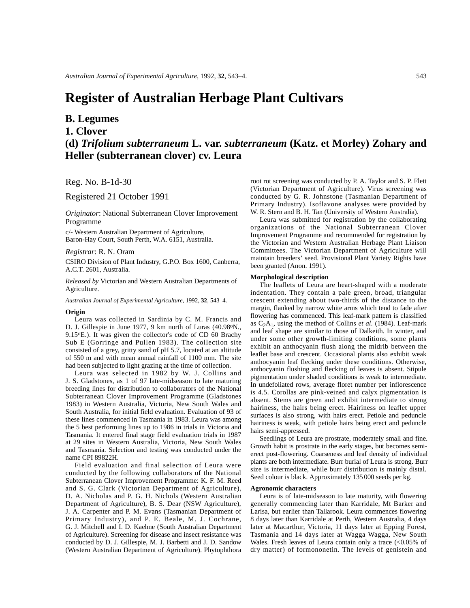# **Register of Australian Herbage Plant Cultivars**

## **B. Legumes**

### **1. Clover**

**(d)** *Trifolium subterraneum* **L. var.** *subterraneum* **(Katz. et Morley) Zohary and Heller (subterranean clover) cv. Leura**

Reg. No. B-1d-30

Registered 21 October 1991

*Originator*: National Subterranean Clover Improvement Programme

c/- Western Australian Department of Agriculture, Baron-Hay Court, South Perth, W.A. 6151, Australia.

#### *Registrar*: R. N. Oram

CSIRO Division of Plant Industry, G.P.O. Box 1600, Canberra, A.C.T. 2601, Australia.

*Released by* Victorian and Western Australian Departments of Agriculture.

*Australian Journal of Experimental Agriculture*, 1992, **32**, 543–4.

#### **Origin**

Leura was collected in Sardinia by C. M. Francis and D. J. Gillespie in June 1977, 9 km north of Luras (40.98°N., 9.15oE.). It was given the collector's code of CD 60 Brachy Sub E (Gorringe and Pullen 1983). The collection site consisted of a grey, gritty sand of pH 5.7, located at an altitude of 550 m and with mean annual rainfall of 1100 mm. The site had been subjected to light grazing at the time of collection.

Leura was selected in 1982 by W. J. Collins and J. S. Gladstones, as 1 of 97 late-midseason to late maturing breeding lines for distribution to collaborators of the National Subterranean Clover Improvement Programme (Gladstones 1983) in Western Australia, Victoria, New South Wales and South Australia, for initial field evaluation. Evaluation of 93 of these lines commenced in Tasmania in 1983. Leura was among the 5 best performing lines up to 1986 in trials in Victoria and Tasmania. It entered final stage field evaluation trials in 1987 at 29 sites in Western Australia, Victoria, New South Wales and Tasmania. Selection and testing was conducted under the name CPI 89822H.

Field evaluation and final selection of Leura were conducted by the following collaborators of the National Subterranean Clover Improvement Programme: K. F. M. Reed and S. G. Clark (Victorian Department of Agriculture), D. A. Nicholas and P. G. H. Nichols (Western Australian Department of Agriculture), B. S. Dear (NSW Agriculture), J. A. Carpenter and P. M. Evans (Tasmanian Department of Primary Industry), and P. E. Beale, M. J. Cochrane, G. J. Mitchell and I. D. Kaehne (South Australian Department of Agriculture). Screening for disease and insect resistance was conducted by D. J. Gillespie, M. J. Barbetti and J. D. Sandow (Western Australian Department of Agriculture). Phytophthora

root rot screening was conducted by P. A. Taylor and S. P. Flett (Victorian Department of Agriculture). Virus screening was conducted by G. R. Johnstone (Tasmanian Department of Primary Industry). Isoflavone analyses were provided by W. R. Stern and B. H. Tan (University of Western Australia).

Leura was submitted for registration by the collaborating organizations of the National Subterranean Clover Improvement Programme and recommended for registration by the Victorian and Western Australian Herbage Plant Liaison Committees. The Victorian Department of Agriculture will maintain breeders' seed. Provisional Plant Variety Rights have been granted (Anon. 1991).

#### **Morphological description**

The leaflets of Leura are heart-shaped with a moderate indentation. They contain a pale green, broad, triangular crescent extending about two-thirds of the distance to the margin, flanked by narrow white arms which tend to fade after flowering has commenced. This leaf-mark pattern is classified as  $C_2A_1$ , using the method of Collins *et al.* (1984). Leaf-mark and leaf shape are similar to those of Dalkeith. In winter, and under some other growth-limiting conditions, some plants exhibit an anthocyanin flush along the midrib between the leaflet base and crescent. Occasional plants also exhibit weak anthocyanin leaf flecking under these conditions. Otherwise, anthocyanin flushing and flecking of leaves is absent. Stipule pigmentation under shaded conditions is weak to intermediate. In undefoliated rows, average floret number per inflorescence is 4.5. Corollas are pink-veined and calyx pigmentation is absent. Stems are green and exhibit intermediate to strong hairiness, the hairs being erect. Hairiness on leaflet upper surfaces is also strong, with hairs erect. Petiole and peduncle hairiness is weak, with petiole hairs being erect and peduncle hairs semi-appressed.

Seedlings of Leura are prostrate, moderately small and fine. Growth habit is prostrate in the early stages, but becomes semierect post-flowering. Coarseness and leaf density of individual plants are both intermediate. Burr burial of Leura is strong. Burr size is intermediate, while burr distribution is mainly distal. Seed colour is black. Approximately 135 000 seeds per kg.

#### **Agronomic characters**

Leura is of late-midseason to late maturity, with flowering generally commencing later than Karridale, Mt Barker and Larisa, but earlier than Tallarook. Leura commences flowering 8 days later than Karridale at Perth, Western Australia, 4 days later at Macarthur, Victoria, 11 days later at Epping Forest, Tasmania and 14 days later at Wagga Wagga, New South Wales. Fresh leaves of Leura contain only a trace  $\langle$  <0.05% of dry matter) of formononetin. The levels of genistein and